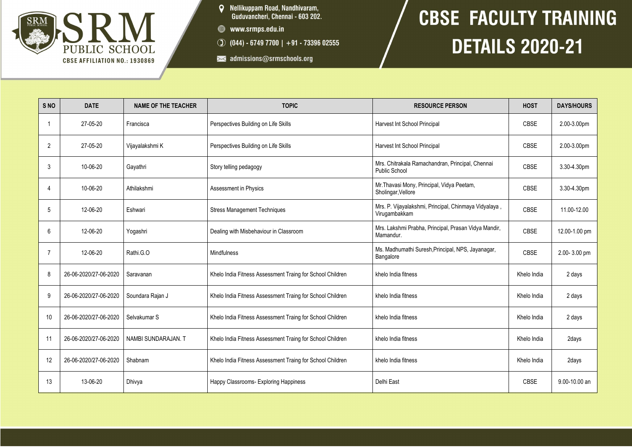

- **Q** Nellikuppam Road, Nandhivaram,<br>Guduvancheri, Chennai 603 202.
- www.srmps.edu.in
- $\circled{)}$  (044) 6749 7700 | +91 73396 02555
- admissions@srmschools.org

## **CBSE FACULTY TRAINING DETAILS 2020-21**

| S <sub>NO</sub> | <b>DATE</b>           | <b>NAME OF THE TEACHER</b> | <b>TOPIC</b>                                              | <b>RESOURCE PERSON</b>                                                   | <b>HOST</b> | <b>DAYS/HOURS</b> |
|-----------------|-----------------------|----------------------------|-----------------------------------------------------------|--------------------------------------------------------------------------|-------------|-------------------|
|                 | 27-05-20              | Francisca                  | Perspectives Building on Life Skills                      | Harvest Int School Principal                                             | <b>CBSE</b> | 2.00-3.00pm       |
| $\overline{2}$  | 27-05-20              | Vijayalakshmi K            | Perspectives Building on Life Skills                      | Harvest Int School Principal                                             | <b>CBSE</b> | 2.00-3.00pm       |
| 3               | 10-06-20              | Gayathri                   | Story telling pedagogy                                    | Mrs. Chitrakala Ramachandran, Principal, Chennai<br><b>Public School</b> | <b>CBSE</b> | 3.30-4.30pm       |
| $\overline{4}$  | 10-06-20              | Athilakshmi                | Assessment in Physics                                     | Mr. Thavasi Mony, Principal, Vidya Peetam,<br>Sholingar, Vellore         | <b>CBSE</b> | 3.30-4.30pm       |
| 5               | 12-06-20              | Eshwari                    | <b>Stress Management Techniques</b>                       | Mrs. P. Vijayalakshmi, Principal, Chinmaya Vidyalaya,<br>Virugambakkam   | CBSE        | 11.00-12.00       |
| 6               | 12-06-20              | Yogashri                   | Dealing with Misbehaviour in Classroom                    | Mrs. Lakshmi Prabha, Principal, Prasan Vidya Mandir,<br>Mamandur.        | <b>CBSE</b> | 12.00-1.00 pm     |
|                 | 12-06-20              | Rathi.G.O                  | <b>Mindfulness</b>                                        | Ms. Madhumathi Suresh, Principal, NPS, Jayanagar,<br>Bangalore           | <b>CBSE</b> | 2.00-3.00 pm      |
| 8               | 26-06-2020/27-06-2020 | Saravanan                  | Khelo India Fitness Assessment Traing for School Children | khelo India fitness                                                      | Khelo India | 2 days            |
| 9               | 26-06-2020/27-06-2020 | Soundara Rajan J           | Khelo India Fitness Assessment Traing for School Children | khelo India fitness                                                      | Khelo India | 2 days            |
| 10              | 26-06-2020/27-06-2020 | Selvakumar S               | Khelo India Fitness Assessment Traing for School Children | khelo India fitness                                                      | Khelo India | 2 days            |
| 11              | 26-06-2020/27-06-2020 | NAMBI SUNDARAJAN. T        | Khelo India Fitness Assessment Traing for School Children | khelo India fitness                                                      | Khelo India | 2days             |
| 12              | 26-06-2020/27-06-2020 | Shabnam                    | Khelo India Fitness Assessment Traing for School Children | khelo India fitness                                                      | Khelo India | 2days             |
| 13              | 13-06-20              | Dhivya                     | Happy Classrooms- Exploring Happiness                     | Delhi East                                                               | CBSE        | 9.00-10.00 an     |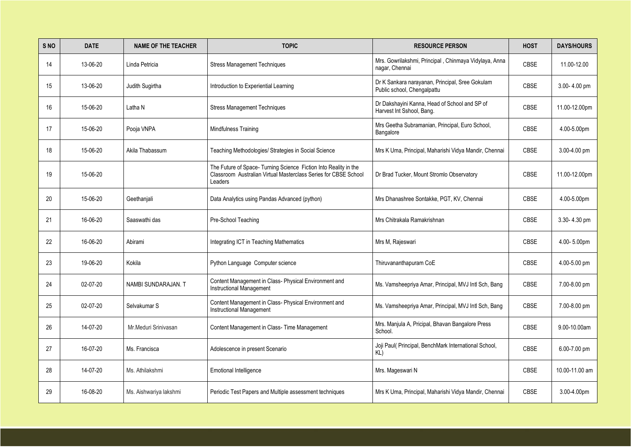| S <sub>NO</sub> | <b>DATE</b> | <b>NAME OF THE TEACHER</b> | <b>TOPIC</b>                                                                                                                                   | <b>RESOURCE PERSON</b>                                                         | <b>HOST</b> | <b>DAYS/HOURS</b> |
|-----------------|-------------|----------------------------|------------------------------------------------------------------------------------------------------------------------------------------------|--------------------------------------------------------------------------------|-------------|-------------------|
| 14              | 13-06-20    | Linda Petricia             | <b>Stress Management Techniques</b>                                                                                                            | Mrs. Gowrilakshmi, Principal, Chinmaya Vidylaya, Anna<br>nagar, Chennai        | <b>CBSE</b> | 11.00-12.00       |
| 15              | 13-06-20    | Judith Sugirtha            | Introduction to Experiential Learning                                                                                                          | Dr K Sankara narayanan, Principal, Sree Gokulam<br>Public school, Chengalpattu | <b>CBSE</b> | 3.00-4.00 pm      |
| 16              | 15-06-20    | Latha N                    | <b>Stress Management Techniques</b>                                                                                                            | Dr Dakshayini Kanna, Head of School and SP of<br>Harvest Int Sshool, Bang.     | <b>CBSE</b> | 11.00-12.00pm     |
| 17              | 15-06-20    | Pooja VNPA                 | <b>Mindfulness Training</b>                                                                                                                    | Mrs Geetha Subramanian, Principal, Euro School,<br>Bangalore                   | <b>CBSE</b> | 4.00-5.00pm       |
| 18              | 15-06-20    | Akila Thabassum            | Teaching Methodologies/ Strategies in Social Science                                                                                           | Mrs K Uma, Principal, Maharishi Vidya Mandir, Chennai                          | <b>CBSE</b> | 3.00-4.00 pm      |
| 19              | 15-06-20    |                            | The Future of Space- Turning Science Fiction Into Reality in the<br>Classroom Australian Virtual Masterclass Series for CBSE School<br>Leaders | Dr Brad Tucker, Mount Stromlo Observatory                                      | <b>CBSE</b> | 11.00-12.00pm     |
| 20              | 15-06-20    | Geethanjali                | Data Analytics using Pandas Advanced (python)                                                                                                  | Mrs Dhanashree Sontakke, PGT, KV, Chennai                                      | <b>CBSE</b> | 4.00-5.00pm       |
| 21              | 16-06-20    | Saaswathi das              | Pre-School Teaching                                                                                                                            | Mrs Chitrakala Ramakrishnan                                                    | <b>CBSE</b> | 3.30-4.30 pm      |
| 22              | 16-06-20    | Abirami                    | Integrating ICT in Teaching Mathematics                                                                                                        | Mrs M, Rajeswari                                                               | <b>CBSE</b> | 4.00-5.00pm       |
| 23              | 19-06-20    | Kokila                     | Python Language Computer science                                                                                                               | Thiruvananthapuram CoE                                                         | <b>CBSE</b> | 4.00-5.00 pm      |
| 24              | 02-07-20    | NAMBI SUNDARAJAN. T        | Content Management in Class- Physical Environment and<br><b>Instructional Management</b>                                                       | Ms. Vamsheepriya Amar, Principal, MVJ Intl Sch, Bang                           | <b>CBSE</b> | 7.00-8.00 pm      |
| 25              | 02-07-20    | Selvakumar S               | Content Management in Class- Physical Environment and<br><b>Instructional Management</b>                                                       | Ms. Vamsheepriya Amar, Principal, MVJ Intl Sch, Bang                           | <b>CBSE</b> | 7.00-8.00 pm      |
| 26              | 14-07-20    | Mr.Meduri Srinivasan       | Content Management in Class- Time Management                                                                                                   | Mrs. Manjula A, Pricipal, Bhavan Bangalore Press<br>School.                    | <b>CBSE</b> | 9.00-10.00am      |
| 27              | 16-07-20    | Ms. Francisca              | Adolescence in present Scenario                                                                                                                | Joji Paul( Principal, BenchMark International School,<br>KL)                   | CBSE        | 6.00-7.00 pm      |
| 28              | 14-07-20    | Ms. Athilakshmi            | <b>Emotional Intelligence</b>                                                                                                                  | Mrs. Mageswari N                                                               | <b>CBSE</b> | 10.00-11.00 am    |
| 29              | 16-08-20    | Ms. Aishwariya lakshmi     | Periodic Test Papers and Multiple assessment techniques                                                                                        | Mrs K Uma, Principal, Maharishi Vidya Mandir, Chennai                          | <b>CBSE</b> | 3.00-4.00pm       |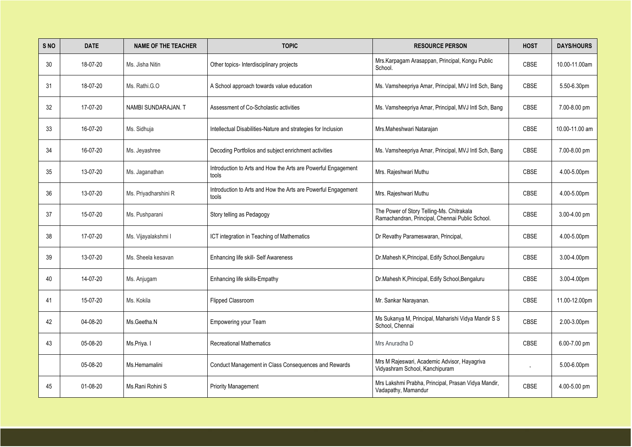| S NO | <b>DATE</b> | <b>NAME OF THE TEACHER</b> | <b>TOPIC</b>                                                           | <b>RESOURCE PERSON</b>                                                                       | <b>HOST</b> | <b>DAYS/HOURS</b> |
|------|-------------|----------------------------|------------------------------------------------------------------------|----------------------------------------------------------------------------------------------|-------------|-------------------|
| 30   | 18-07-20    | Ms. Jisha Nitin            | Other topics- Interdisciplinary projects                               | Mrs.Karpagam Arasappan, Principal, Kongu Public<br>School.                                   | <b>CBSE</b> | 10.00-11.00am     |
| 31   | 18-07-20    | Ms. Rathi.G.O              | A School approach towards value education                              | Ms. Vamsheepriya Amar, Principal, MVJ Intl Sch, Bang                                         | <b>CBSE</b> | 5.50-6.30pm       |
| 32   | 17-07-20    | NAMBI SUNDARAJAN. T        | Assessment of Co-Scholastic activities                                 | Ms. Vamsheepriya Amar, Principal, MVJ Intl Sch, Bang                                         | <b>CBSE</b> | 7.00-8.00 pm      |
| 33   | 16-07-20    | Ms. Sidhuja                | Intellectual Disabilities-Nature and strategies for Inclusion          | Mrs. Maheshwari Natarajan                                                                    | <b>CBSE</b> | 10.00-11.00 am    |
| 34   | 16-07-20    | Ms. Jeyashree              | Decoding Portfolios and subject enrichment activities                  | Ms. Vamsheepriya Amar, Principal, MVJ Intl Sch, Bang                                         | <b>CBSE</b> | 7.00-8.00 pm      |
| 35   | 13-07-20    | Ms. Jaganathan             | Introduction to Arts and How the Arts are Powerful Engagement<br>tools | Mrs. Rajeshwari Muthu                                                                        | <b>CBSE</b> | 4.00-5.00pm       |
| 36   | 13-07-20    | Ms. Priyadharshini R       | Introduction to Arts and How the Arts are Powerful Engagement<br>tools | Mrs. Rajeshwari Muthu                                                                        | <b>CBSE</b> | 4.00-5.00pm       |
| 37   | 15-07-20    | Ms. Pushparani             | Story telling as Pedagogy                                              | The Power of Story Telling-Ms. Chitrakala<br>Ramachandran, Principal, Chennai Public School. | <b>CBSE</b> | 3.00-4.00 pm      |
| 38   | 17-07-20    | Ms. Vijayalakshmi I        | ICT integration in Teaching of Mathematics                             | Dr Revathy Parameswaran, Principal,                                                          | <b>CBSE</b> | 4.00-5.00pm       |
| 39   | 13-07-20    | Ms. Sheela kesavan         | <b>Enhancing life skill- Self Awareness</b>                            | Dr.Mahesh K, Principal, Edify School, Bengaluru                                              | <b>CBSE</b> | 3.00-4.00pm       |
| 40   | 14-07-20    | Ms. Anjugam                | Enhancing life skills-Empathy                                          | Dr.Mahesh K, Principal, Edify School, Bengaluru                                              | CBSE        | 3.00-4.00pm       |
| 41   | 15-07-20    | Ms. Kokila                 | <b>Flipped Classroom</b>                                               | Mr. Sankar Narayanan.                                                                        | <b>CBSE</b> | 11.00-12.00pm     |
| 42   | 04-08-20    | Ms.Geetha.N                | <b>Empowering your Team</b>                                            | Ms Sukanya M, Principal, Maharishi Vidya Mandir S S<br>School, Chennai                       | <b>CBSE</b> | 2.00-3.00pm       |
| 43   | 05-08-20    | Ms.Priya. I                | <b>Recreational Mathematics</b>                                        | Mrs Anuradha D                                                                               | <b>CBSE</b> | 6.00-7.00 pm      |
|      | 05-08-20    | Ms.Hemamalini              | Conduct Management in Class Consequences and Rewards                   | Mrs M Rajeswari, Academic Advisor, Hayagriva<br>Vidyashram School, Kanchipuram               |             | 5.00-6.00pm       |
| 45   | 01-08-20    | Ms.Rani Rohini S           | <b>Priority Management</b>                                             | Mrs Lakshmi Prabha, Principal, Prasan Vidya Mandir,<br>Vadapathy, Mamandur                   | <b>CBSE</b> | 4.00-5.00 pm      |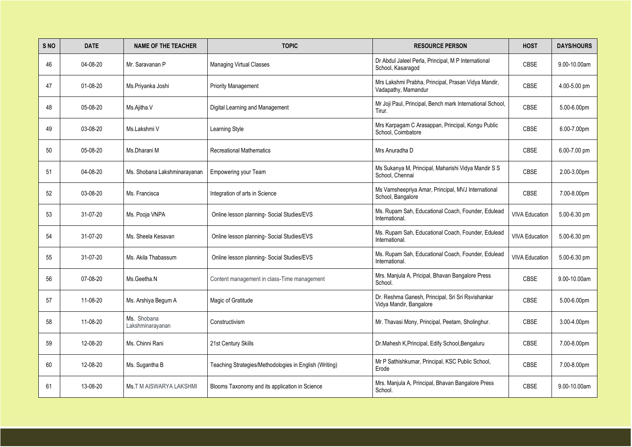| S NO | <b>DATE</b> | <b>NAME OF THE TEACHER</b>      | <b>TOPIC</b>                                           | <b>RESOURCE PERSON</b>                                                       | <b>HOST</b>           | <b>DAYS/HOURS</b> |
|------|-------------|---------------------------------|--------------------------------------------------------|------------------------------------------------------------------------------|-----------------------|-------------------|
| 46   | 04-08-20    | Mr. Saravanan P                 | <b>Managing Virtual Classes</b>                        | Dr Abdul Jaleel Perla, Principal, M P International<br>School, Kasaragod     | <b>CBSE</b>           | 9.00-10.00am      |
| 47   | 01-08-20    | Ms.Priyanka Joshi               | <b>Priority Management</b>                             | Mrs Lakshmi Prabha, Principal, Prasan Vidya Mandir,<br>Vadapathy, Mamandur   | <b>CBSE</b>           | 4.00-5.00 pm      |
| 48   | 05-08-20    | Ms.Ajitha.V                     | Digital Learning and Management                        | Mr Joji Paul, Principal, Bench mark International School,<br>Tirur.          | <b>CBSE</b>           | 5.00-6.00pm       |
| 49   | 03-08-20    | Ms.Lakshmi V                    | Learning Style                                         | Mrs Karpagam C Arasappan, Principal, Kongu Public<br>School, Coimbatore      | <b>CBSE</b>           | 6.00-7.00pm       |
| 50   | 05-08-20    | Ms.Dharani M                    | <b>Recreational Mathematics</b>                        | Mrs Anuradha D                                                               | <b>CBSE</b>           | 6.00-7.00 pm      |
| 51   | 04-08-20    | Ms. Shobana Lakshminarayanan    | <b>Empowering your Team</b>                            | Ms Sukanya M, Principal, Maharishi Vidya Mandir S S<br>School, Chennai       | <b>CBSE</b>           | 2.00-3.00pm       |
| 52   | 03-08-20    | Ms. Francisca                   | Integration of arts in Science                         | Ms Vamsheepriya Amar, Principal, MVJ International<br>School, Bangalore      | <b>CBSE</b>           | 7.00-8.00pm       |
| 53   | 31-07-20    | Ms. Pooja VNPA                  | Online lesson planning- Social Studies/EVS             | Ms. Rupam Sah, Educational Coach, Founder, Edulead<br>International.         | <b>VIVA Education</b> | 5.00-6.30 pm      |
| 54   | 31-07-20    | Ms. Sheela Kesavan              | Online lesson planning- Social Studies/EVS             | Ms. Rupam Sah, Educational Coach, Founder, Edulead<br>International.         | <b>VIVA Education</b> | 5.00-6.30 pm      |
| 55   | 31-07-20    | Ms. Akila Thabassum             | Online lesson planning- Social Studies/EVS             | Ms. Rupam Sah, Educational Coach, Founder, Edulead<br>International.         | <b>VIVA Education</b> | 5.00-6.30 pm      |
| 56   | 07-08-20    | Ms.Geetha.N                     | Content management in class-Time management            | Mrs. Manjula A, Pricipal, Bhavan Bangalore Press<br>School.                  | <b>CBSE</b>           | 9.00-10.00am      |
| 57   | 11-08-20    | Ms. Arshiya Begum A             | Magic of Gratitude                                     | Dr. Reshma Ganesh, Principal, Sri Sri Rsvishankar<br>Vidya Mandir, Bangalore | <b>CBSE</b>           | 5.00-6.00pm       |
| 58   | 11-08-20    | Ms. Shobana<br>Lakshminarayanan | Constructivism                                         | Mr. Thavasi Mony, Principal, Peetam, Sholinghur.                             | <b>CBSE</b>           | 3.00-4.00pm       |
| 59   | 12-08-20    | Ms. Chinni Rani                 | 21st Century Skills                                    | Dr.Mahesh K, Principal, Edify School, Bengaluru                              | <b>CBSE</b>           | 7.00-8.00pm       |
| 60   | 12-08-20    | Ms. Sugantha B                  | Teaching Strategies/Methodologies in English (Writing) | Mr P Sathishkumar, Principal, KSC Public School,<br>Erode                    | <b>CBSE</b>           | 7.00-8.00pm       |
| 61   | 13-08-20    | <b>Ms.T M AISWARYA LAKSHMI</b>  | Blooms Taxonomy and its application in Science         | Mrs. Manjula A, Principal, Bhavan Bangalore Press<br>School.                 | CBSE                  | 9.00-10.00am      |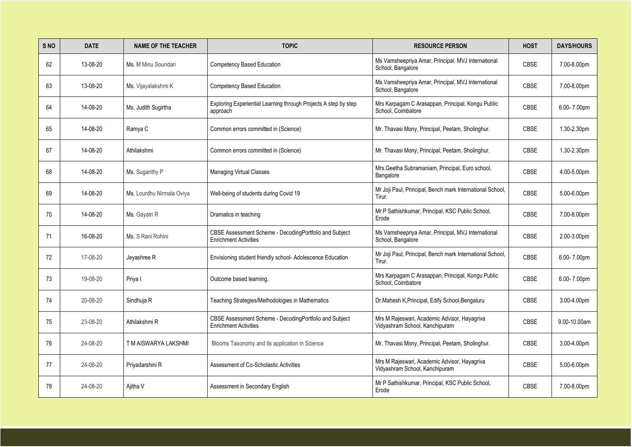| S <sub>NO</sub> | <b>DATE</b> | <b>NAME OF THE TEACHER</b> | <b>TOPIC</b>                                                                           | <b>RESOURCE PERSON</b>                                                         | <b>HOST</b> | <b>DAYS/HOURS</b> |
|-----------------|-------------|----------------------------|----------------------------------------------------------------------------------------|--------------------------------------------------------------------------------|-------------|-------------------|
| 62              | 13-08-20    | Ms. M Minu Soundari        | <b>Competency Based Education</b>                                                      | Ms Vamsheepriya Amar, Principal, MVJ International<br>School, Bangalore        | <b>CBSE</b> | 7.00-8.00pm       |
| 63              | 13-08-20    | Ms. Vijayalakshmi K        | <b>Competency Based Education</b>                                                      | Ms Vamsheepriya Amar, Principal, MVJ International<br>School, Bangalore        | <b>CBSE</b> | 7.00-8.00pm       |
| 64              | 14-08-20    | Ms. Judith Sugirtha        | Exploring Experiential Learning through Projects A step by step<br>approach            | Mrs Karpagam C Arasappan, Principal, Kongu Public<br>School, Coimbatore        | <b>CBSE</b> | 6.00-7.00pm       |
| 65              | 14-08-20    | Ramya C                    | Common errors committed in (Science)                                                   | Mr. Thavasi Mony, Principal, Peetam, Sholinghur.                               | <b>CBSE</b> | 1.30-2.30pm       |
| 67              | 14-08-20    | Athilakshmi                | Common errors committed in (Science)                                                   | Mr. Thavasi Mony, Principal, Peetam, Sholinghur.                               | <b>CBSE</b> | 1.30-2.30pm       |
| 68              | 14-08-20    | Ms. Suganthy P             | <b>Managing Virtual Classes</b>                                                        | Mrs. Geetha Subramaniam, Principal, Euro school,<br>Bangalore                  | <b>CBSE</b> | 4.00-5.00pm       |
| 69              | 14-08-20    | Ms. Lourdhu Nirmala Oviya  | Well-being of students during Covid 19                                                 | Mr Joji Paul, Principal, Bench mark International School,<br>Tirur.            | <b>CBSE</b> | 5.00-6.00pm       |
| 70              | 14-08-20    | Ms. Gayatri R              | Dramatics in teaching                                                                  | Mr P Sathishkumar, Principal, KSC Public School,<br>Erode                      | <b>CBSE</b> | 7.00-8.00pm       |
| 71              | 16-08-20    | Ms. S Rani Rohini          | CBSE Assessment Scheme - DecodingPortfolio and Subject<br><b>Enrichment Activities</b> | Ms Vamsheepriya Amar, Principal, MVJ International<br>School, Bangalore        | <b>CBSE</b> | 2.00-3.00pm       |
| 72              | 17-08-20    | Jeyashree R                | Envisioning student friendly school- Adolescence Education                             | Mr Joji Paul, Principal, Bench mark International School,<br>Tirur.            | <b>CBSE</b> | 6.00-7.00pm       |
| 73              | 19-08-20    | Priya I                    | Outcome based learning.                                                                | Mrs Karpagam C Arasappan, Principal, Kongu Public<br>School, Coimbatore        | <b>CBSE</b> | 6.00-7.00pm       |
| 74              | 20-08-20    | Sindhuja R                 | Teaching Strategies/Methodologies in Mathematics                                       | Dr.Mahesh K, Principal, Edify School, Bengaluru                                | <b>CBSE</b> | 3.00-4.00pm       |
| 75              | 23-08-20    | Athilakshmi R              | CBSE Assessment Scheme - DecodingPortfolio and Subject<br><b>Enrichment Activities</b> | Mrs M Rajeswari, Academic Advisor, Hayagriva<br>Vidyashram School, Kanchipuram | <b>CBSE</b> | 9.00-10.00am      |
| 76              | 24-08-20    | T M AISWARYA LAKSHMI       | Blooms Taxonomy and its application in Science                                         | Mr. Thavasi Mony, Principal, Peetam, Sholinghur.                               | <b>CBSE</b> | 3.00-4.00pm       |
| 77              | 24-08-20    | Priyadarshini R            | Assessment of Co-Scholastic Activities                                                 | Mrs M Rajeswari, Academic Advisor, Hayagriva<br>Vidyashram School, Kanchipuram | <b>CBSE</b> | 5.00-6.00pm       |
| 78              | 24-08-20    | Ajitha V                   | Assessment in Secondary English                                                        | Mr P Sathishkumar, Principal, KSC Public School,<br>Erode                      | CBSE        | 7.00-8.00pm       |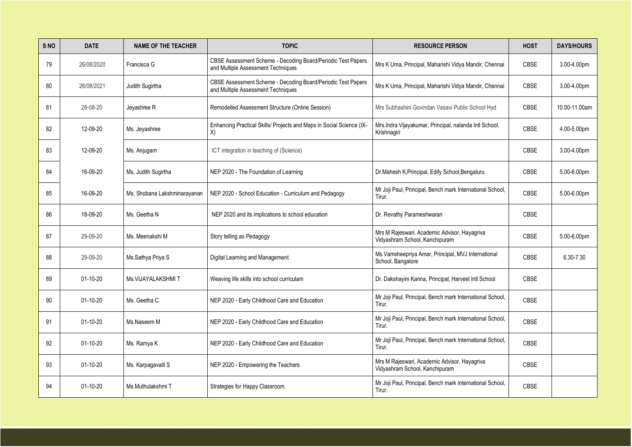| S <sub>NO</sub> | <b>DATE</b>    | <b>NAME OF THE TEACHER</b>   | <b>TOPIC</b>                                                                                       | <b>RESOURCE PERSON</b>                                                         | <b>HOST</b> | <b>DAYS/HOURS</b> |
|-----------------|----------------|------------------------------|----------------------------------------------------------------------------------------------------|--------------------------------------------------------------------------------|-------------|-------------------|
| 79              | 26/08/2020     | Francisca G                  | CBSE Assessment Scheme - Decoding Board/Periodic Test Papers<br>and Multiple Assessment Techniques | Mrs K Uma, Principal, Maharishi Vidya Mandir, Chennai                          | <b>CBSE</b> | 3.00-4.00pm       |
| 80              | 26/08/2021     | Judith Sugirtha              | CBSE Assessment Scheme - Decoding Board/Periodic Test Papers<br>and Multiple Assessment Techniques | Mrs K Uma, Principal, Maharishi Vidya Mandir, Chennai                          | <b>CBSE</b> | 3.00-4.00pm       |
| 81              | 28-08-20       | Jeyashree R                  | Remodelled Assessment Structure (Online Session)                                                   | Mrs Subhashini Govindan Vasavi Public School Hyd                               | <b>CBSE</b> | 10.00-11.00am     |
| 82              | 12-09-20       | Ms. Jeyashree                | Enhancing Practical Skills/ Projects and Maps in Social Science (IX-<br>X)                         | Mrs.Indra Vijayakumar, Principal, nalanda Intl School,<br>Krishnagiri          | <b>CBSE</b> | 4.00-5.00pm       |
| 83              | 12-09-20       | Ms. Anjugam                  | ICT integration in teaching of (Science)                                                           |                                                                                | <b>CBSE</b> | 3.00-4.00pm       |
| 84              | 16-09-20       | Ms. Judith Sugirtha          | NEP 2020 - The Foundation of Learning                                                              | Dr.Mahesh K, Principal, Edify School, Bengaluru                                | <b>CBSE</b> | 5.00-6.00pm       |
| 85              | 16-09-20       | Ms. Shobana Lakshminarayanan | NEP 2020 - School Education - Curriculum and Pedagogy                                              | Mr Joji Paul, Principal, Bench mark International School,<br>Tirur.            | <b>CBSE</b> | 5.00-6.00pm       |
| 86              | 18-09-20       | Ms. Geetha N                 | NEP 2020 and its implications to school education                                                  | Dr. Revathy Parameshwaran                                                      | <b>CBSE</b> |                   |
| 87              | 29-09-20       | Ms. Meenakshi M              | Story telling as Pedagogy                                                                          | Mrs M Rajeswari, Academic Advisor, Hayagriva<br>Vidyashram School, Kanchipuram | <b>CBSE</b> | 5.00-6.00pm       |
| 88              | 29-09-20       | Ms.Sathya Priya S            | Digital Learning and Management                                                                    | Ms Vamsheepriya Amar, Principal, MVJ International<br>School, Bangalore        | <b>CBSE</b> | 6.30-7.30         |
| 89              | $01-10-20$     | Ms. VIJAYALAKSHMIT           | Weaving life skills into school curriculam                                                         | Dr. Dakshayini Kanna, Principal, Harvest Intl School                           | <b>CBSE</b> |                   |
| 90              | $01-10-20$     | Ms. Geetha C                 | NEP 2020 - Early Childhood Care and Education                                                      | Mr Joji Paul, Principal, Bench mark International School,<br>Tirur.            | <b>CBSE</b> |                   |
| 91              | $01 - 10 - 20$ | Ms.Naseem M                  | NEP 2020 - Early Childhood Care and Education                                                      | Mr Joji Paul, Principal, Bench mark International School,<br>Tirur.            | <b>CBSE</b> |                   |
| 92              | $01 - 10 - 20$ | Ms. Ramya K                  | NEP 2020 - Early Childhood Care and Education                                                      | Mr Joji Paul, Principal, Bench mark International School,<br>Tirur.            | <b>CBSE</b> |                   |
| 93              | $01-10-20$     | Ms. Karpagavalli S           | NEP 2020 - Empowering the Teachers                                                                 | Mrs M Rajeswari, Academic Advisor, Hayagriva<br>Vidyashram School, Kanchipuram | <b>CBSE</b> |                   |
| 94              | $01 - 10 - 20$ | Ms.Muthulakshmi T            | Strategies for Happy Classroom.                                                                    | Mr Joji Paul, Principal, Bench mark International School,<br>Tirur.            | <b>CBSE</b> |                   |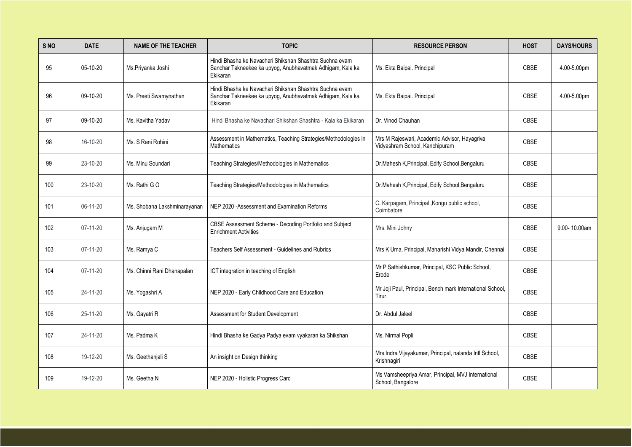| S NO | <b>DATE</b>    | <b>NAME OF THE TEACHER</b>   | <b>TOPIC</b>                                                                                                                     | <b>RESOURCE PERSON</b>                                                         | <b>HOST</b> | <b>DAYS/HOURS</b> |
|------|----------------|------------------------------|----------------------------------------------------------------------------------------------------------------------------------|--------------------------------------------------------------------------------|-------------|-------------------|
| 95   | 05-10-20       | Ms.Priyanka Joshi            | Hindi Bhasha ke Navachari Shikshan Shashtra Suchna evam<br>Sanchar Takneekee ka upyog, Anubhavatmak Adhigam, Kala ka<br>Ekikaran | Ms. Ekta Baipai. Principal                                                     | <b>CBSE</b> | 4.00-5.00pm       |
| 96   | 09-10-20       | Ms. Preeti Swamynathan       | Hindi Bhasha ke Navachari Shikshan Shashtra Suchna evam<br>Sanchar Takneekee ka upyog, Anubhavatmak Adhigam, Kala ka<br>Ekikaran | Ms. Ekta Baipai. Principal                                                     | <b>CBSE</b> | 4.00-5.00pm       |
| 97   | 09-10-20       | Ms. Kavitha Yadav            | Hindi Bhasha ke Navachari Shikshan Shashtra - Kala ka Ekikaran                                                                   | Dr. Vinod Chauhan                                                              | <b>CBSE</b> |                   |
| 98   | 16-10-20       | Ms. S Rani Rohini            | Assessment in Mathematics, Teaching Strategies/Methodologies in<br><b>Mathematics</b>                                            | Mrs M Rajeswari, Academic Advisor, Hayagriva<br>Vidyashram School, Kanchipuram | <b>CBSE</b> |                   |
| 99   | 23-10-20       | Ms. Minu Soundari            | Teaching Strategies/Methodologies in Mathematics                                                                                 | Dr.Mahesh K, Principal, Edify School, Bengaluru                                | <b>CBSE</b> |                   |
| 100  | 23-10-20       | Ms. Rathi GO                 | Teaching Strategies/Methodologies in Mathematics                                                                                 | Dr.Mahesh K, Principal, Edify School, Bengaluru                                | <b>CBSE</b> |                   |
| 101  | 06-11-20       | Ms. Shobana Lakshminarayanan | NEP 2020 - Assessment and Examination Reforms                                                                                    | C. Karpagam, Principal , Kongu public school,<br>Coimbatore                    | <b>CBSE</b> |                   |
| 102  | $07 - 11 - 20$ | Ms. Anjugam M                | CBSE Assessment Scheme - Decoding Portfolio and Subject<br><b>Enrichment Activities</b>                                          | Mrs. Mini Johny                                                                | <b>CBSE</b> | 9.00-10.00am      |
| 103  | $07 - 11 - 20$ | Ms. Ramya C                  | <b>Teachers Self Assessment - Guidelines and Rubrics</b>                                                                         | Mrs K Uma, Principal, Maharishi Vidya Mandir, Chennai                          | <b>CBSE</b> |                   |
| 104  | $07 - 11 - 20$ | Ms. Chinni Rani Dhanapalan   | ICT integration in teaching of English                                                                                           | Mr P Sathishkumar, Principal, KSC Public School,<br>Erode                      | <b>CBSE</b> |                   |
| 105  | 24-11-20       | Ms. Yogashri A               | NEP 2020 - Early Childhood Care and Education                                                                                    | Mr Joji Paul, Principal, Bench mark International School,<br>Tirur.            | <b>CBSE</b> |                   |
| 106  | 25-11-20       | Ms. Gayatri R                | Assessment for Student Development                                                                                               | Dr. Abdul Jaleel                                                               | <b>CBSE</b> |                   |
| 107  | 24-11-20       | Ms. Padma K                  | Hindi Bhasha ke Gadya Padya evam vyakaran ka Shikshan                                                                            | Ms. Nirmal Popli                                                               | <b>CBSE</b> |                   |
| 108  | 19-12-20       | Ms. Geethanjali S            | An insight on Design thinking                                                                                                    | Mrs.Indra Vijayakumar, Principal, nalanda Intl School,<br>Krishnagiri          | <b>CBSE</b> |                   |
| 109  | 19-12-20       | Ms. Geetha N                 | NEP 2020 - Holistic Progress Card                                                                                                | Ms Vamsheepriya Amar, Principal, MVJ International<br>School, Bangalore        | CBSE        |                   |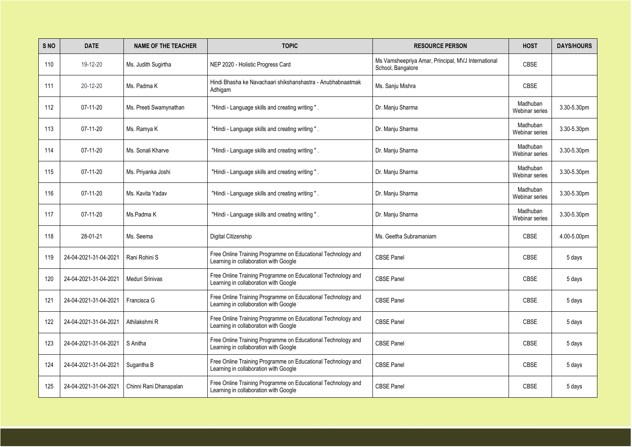| S <sub>NO</sub> | <b>DATE</b>           | <b>NAME OF THE TEACHER</b> | <b>TOPIC</b>                                                                                          | <b>RESOURCE PERSON</b>                                                  | <b>HOST</b>                | <b>DAYS/HOURS</b> |
|-----------------|-----------------------|----------------------------|-------------------------------------------------------------------------------------------------------|-------------------------------------------------------------------------|----------------------------|-------------------|
| 110             | 19-12-20              | Ms. Judith Sugirtha        | NEP 2020 - Holistic Progress Card                                                                     | Ms Vamsheepriya Amar, Principal, MVJ International<br>School, Bangalore | <b>CBSE</b>                |                   |
| 111             | 20-12-20              | Ms. Padma K                | Hindi Bhasha ke Navachaari shikshanshastra - Anubhabnaatmak<br>Adhigam                                | Ms. Sanju Mishra                                                        | <b>CBSE</b>                |                   |
| 112             | $07 - 11 - 20$        | Ms. Preeti Swamynathan     | "Hindi - Language skills and creating writing ".                                                      | Dr. Manju Sharma                                                        | Madhuban<br>Webinar series | 3.30-5.30pm       |
| 113             | $07 - 11 - 20$        | Ms. Ramya K                | "Hindi - Language skills and creating writing ".                                                      | Dr. Manju Sharma                                                        | Madhuban<br>Webinar series | 3.30-5.30pm       |
| 114             | $07-11-20$            | Ms. Sonali Kharve          | "Hindi - Language skills and creating writing ".                                                      | Dr. Manju Sharma                                                        | Madhuban<br>Webinar series | 3.30-5.30pm       |
| 115             | $07-11-20$            | Ms. Priyanka Joshi         | "Hindi - Language skills and creating writing ".                                                      | Dr. Manju Sharma                                                        | Madhuban<br>Webinar series | 3.30-5.30pm       |
| 116             | $07-11-20$            | Ms. Kavita Yadav           | "Hindi - Language skills and creating writing".                                                       | Dr. Manju Sharma                                                        | Madhuban<br>Webinar series | 3.30-5.30pm       |
| 117             | $07-11-20$            | Ms.Padma K                 | "Hindi - Language skills and creating writing ".                                                      | Dr. Manju Sharma                                                        | Madhuban<br>Webinar series | 3.30-5.30pm       |
| 118             | 28-01-21              | Ms. Seema                  | Digital Citizenship                                                                                   | Ms. Geetha Subramaniam                                                  | <b>CBSE</b>                | 4.00-5.00pm       |
| 119             | 24-04-2021-31-04-2021 | Rani Rohini S              | Free Online Training Programme on Educational Technology and<br>Learning in collaboration with Google | <b>CBSE Panel</b>                                                       | <b>CBSE</b>                | 5 days            |
| 120             | 24-04-2021-31-04-2021 | Meduri Srinivas            | Free Online Training Programme on Educational Technology and<br>Learning in collaboration with Google | <b>CBSE Panel</b>                                                       | <b>CBSE</b>                | 5 days            |
| 121             | 24-04-2021-31-04-2021 | Francisca G                | Free Online Training Programme on Educational Technology and<br>Learning in collaboration with Google | <b>CBSE Panel</b>                                                       | <b>CBSE</b>                | 5 days            |
| 122             | 24-04-2021-31-04-2021 | Athilakshmi R              | Free Online Training Programme on Educational Technology and<br>Learning in collaboration with Google | <b>CBSE Panel</b>                                                       | <b>CBSE</b>                | 5 days            |
| 123             | 24-04-2021-31-04-2021 | S Anitha                   | Free Online Training Programme on Educational Technology and<br>Learning in collaboration with Google | <b>CBSE Panel</b>                                                       | <b>CBSE</b>                | 5 days            |
| 124             | 24-04-2021-31-04-2021 | Sugantha B                 | Free Online Training Programme on Educational Technology and<br>Learning in collaboration with Google | <b>CBSE Panel</b>                                                       | <b>CBSE</b>                | 5 days            |
| 125             | 24-04-2021-31-04-2021 | Chinni Rani Dhanapalan     | Free Online Training Programme on Educational Technology and<br>Learning in collaboration with Google | <b>CBSE Panel</b>                                                       | <b>CBSE</b>                | 5 days            |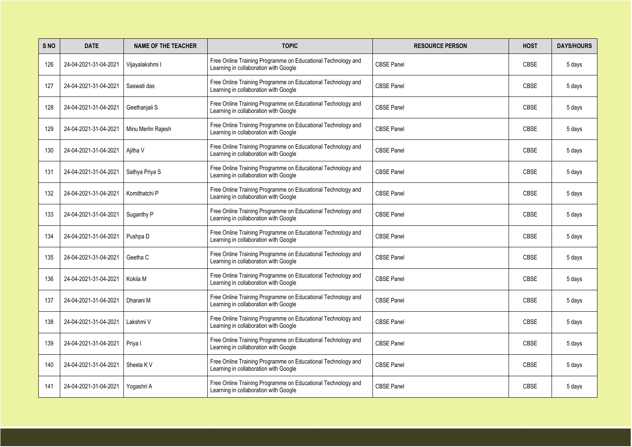| S <sub>NO</sub> | <b>DATE</b>           | <b>NAME OF THE TEACHER</b> | <b>TOPIC</b>                                                                                          | <b>RESOURCE PERSON</b> | <b>HOST</b> | <b>DAYS/HOURS</b> |
|-----------------|-----------------------|----------------------------|-------------------------------------------------------------------------------------------------------|------------------------|-------------|-------------------|
| 126             | 24-04-2021-31-04-2021 | Vijayalakshmi I            | Free Online Training Programme on Educational Technology and<br>Learning in collaboration with Google | <b>CBSE Panel</b>      | <b>CBSE</b> | 5 days            |
| 127             | 24-04-2021-31-04-2021 | Saswati das                | Free Online Training Programme on Educational Technology and<br>Learning in collaboration with Google | <b>CBSE Panel</b>      | <b>CBSE</b> | 5 days            |
| 128             | 24-04-2021-31-04-2021 | Geethanjali S              | Free Online Training Programme on Educational Technology and<br>Learning in collaboration with Google | <b>CBSE Panel</b>      | <b>CBSE</b> | 5 days            |
| 129             | 24-04-2021-31-04-2021 | Minu Merlin Rajesh         | Free Online Training Programme on Educational Technology and<br>Learning in collaboration with Google | <b>CBSE Panel</b>      | <b>CBSE</b> | 5 days            |
| 130             | 24-04-2021-31-04-2021 | Ajitha V                   | Free Online Training Programme on Educational Technology and<br>Learning in collaboration with Google | <b>CBSE Panel</b>      | <b>CBSE</b> | 5 days            |
| 131             | 24-04-2021-31-04-2021 | Sathya Priya S             | Free Online Training Programme on Educational Technology and<br>Learning in collaboration with Google | <b>CBSE Panel</b>      | <b>CBSE</b> | 5 days            |
| 132             | 24-04-2021-31-04-2021 | Komithatchi P              | Free Online Training Programme on Educational Technology and<br>Learning in collaboration with Google | <b>CBSE Panel</b>      | <b>CBSE</b> | 5 days            |
| 133             | 24-04-2021-31-04-2021 | Suganthy P                 | Free Online Training Programme on Educational Technology and<br>Learning in collaboration with Google | <b>CBSE Panel</b>      | <b>CBSE</b> | 5 days            |
| 134             | 24-04-2021-31-04-2021 | Pushpa D                   | Free Online Training Programme on Educational Technology and<br>Learning in collaboration with Google | <b>CBSE Panel</b>      | <b>CBSE</b> | 5 days            |
| 135             | 24-04-2021-31-04-2021 | Geetha C                   | Free Online Training Programme on Educational Technology and<br>Learning in collaboration with Google | <b>CBSE Panel</b>      | <b>CBSE</b> | 5 days            |
| 136             | 24-04-2021-31-04-2021 | Kokila M                   | Free Online Training Programme on Educational Technology and<br>Learning in collaboration with Google | <b>CBSE Panel</b>      | <b>CBSE</b> | 5 days            |
| 137             | 24-04-2021-31-04-2021 | Dharani M                  | Free Online Training Programme on Educational Technology and<br>Learning in collaboration with Google | <b>CBSE Panel</b>      | <b>CBSE</b> | 5 days            |
| 138             | 24-04-2021-31-04-2021 | Lakshmi V                  | Free Online Training Programme on Educational Technology and<br>Learning in collaboration with Google | <b>CBSE Panel</b>      | <b>CBSE</b> | 5 days            |
| 139             | 24-04-2021-31-04-2021 | Priya I                    | Free Online Training Programme on Educational Technology and<br>Learning in collaboration with Google | <b>CBSE Panel</b>      | <b>CBSE</b> | 5 days            |
| 140             | 24-04-2021-31-04-2021 | Sheela K V                 | Free Online Training Programme on Educational Technology and<br>Learning in collaboration with Google | <b>CBSE Panel</b>      | <b>CBSE</b> | 5 days            |
| 141             | 24-04-2021-31-04-2021 | Yogashri A                 | Free Online Training Programme on Educational Technology and<br>Learning in collaboration with Google | <b>CBSE Panel</b>      | <b>CBSE</b> | 5 days            |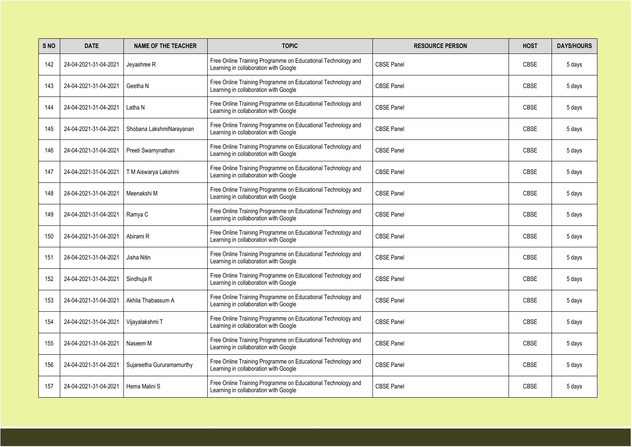| S <sub>NO</sub> | <b>DATE</b>           | <b>NAME OF THE TEACHER</b> | <b>TOPIC</b>                                                                                          | <b>RESOURCE PERSON</b> | <b>HOST</b> | <b>DAYS/HOURS</b> |
|-----------------|-----------------------|----------------------------|-------------------------------------------------------------------------------------------------------|------------------------|-------------|-------------------|
| 142             | 24-04-2021-31-04-2021 | Jeyashree R                | Free Online Training Programme on Educational Technology and<br>Learning in collaboration with Google | <b>CBSE Panel</b>      | <b>CBSE</b> | 5 days            |
| 143             | 24-04-2021-31-04-2021 | Geetha N                   | Free Online Training Programme on Educational Technology and<br>Learning in collaboration with Google | <b>CBSE Panel</b>      | <b>CBSE</b> | 5 days            |
| 144             | 24-04-2021-31-04-2021 | Latha N                    | Free Online Training Programme on Educational Technology and<br>Learning in collaboration with Google | <b>CBSE Panel</b>      | <b>CBSE</b> | 5 days            |
| 145             | 24-04-2021-31-04-2021 | Shobana LakshmiNarayanan   | Free Online Training Programme on Educational Technology and<br>Learning in collaboration with Google | <b>CBSE Panel</b>      | <b>CBSE</b> | 5 days            |
| 146             | 24-04-2021-31-04-2021 | Preeti Swamynathan         | Free Online Training Programme on Educational Technology and<br>Learning in collaboration with Google | <b>CBSE Panel</b>      | <b>CBSE</b> | 5 days            |
| 147             | 24-04-2021-31-04-2021 | T M Aiswarya Lakshmi       | Free Online Training Programme on Educational Technology and<br>Learning in collaboration with Google | <b>CBSE Panel</b>      | <b>CBSE</b> | 5 days            |
| 148             | 24-04-2021-31-04-2021 | Meenakshi M                | Free Online Training Programme on Educational Technology and<br>Learning in collaboration with Google | <b>CBSE Panel</b>      | <b>CBSE</b> | 5 days            |
| 149             | 24-04-2021-31-04-2021 | Ramya C                    | Free Online Training Programme on Educational Technology and<br>Learning in collaboration with Google | <b>CBSE Panel</b>      | <b>CBSE</b> | 5 days            |
| 150             | 24-04-2021-31-04-2021 | Abirami R                  | Free Online Training Programme on Educational Technology and<br>Learning in collaboration with Google | <b>CBSE Panel</b>      | <b>CBSE</b> | 5 days            |
| 151             | 24-04-2021-31-04-2021 | Jisha Nitin                | Free Online Training Programme on Educational Technology and<br>Learning in collaboration with Google | <b>CBSE Panel</b>      | <b>CBSE</b> | 5 days            |
| 152             | 24-04-2021-31-04-2021 | Sindhuja R                 | Free Online Training Programme on Educational Technology and<br>Learning in collaboration with Google | <b>CBSE Panel</b>      | <b>CBSE</b> | 5 days            |
| 153             | 24-04-2021-31-04-2021 | Akhila Thabassum A         | Free Online Training Programme on Educational Technology and<br>Learning in collaboration with Google | <b>CBSE Panel</b>      | <b>CBSE</b> | 5 days            |
| 154             | 24-04-2021-31-04-2021 | Vijayalakshmi T            | Free Online Training Programme on Educational Technology and<br>Learning in collaboration with Google | <b>CBSE Panel</b>      | <b>CBSE</b> | 5 days            |
| 155             | 24-04-2021-31-04-2021 | Naseem M                   | Free Online Training Programme on Educational Technology and<br>Learning in collaboration with Google | <b>CBSE Panel</b>      | <b>CBSE</b> | 5 days            |
| 156             | 24-04-2021-31-04-2021 | Sujareetha Gururamamurthy  | Free Online Training Programme on Educational Technology and<br>Learning in collaboration with Google | <b>CBSE Panel</b>      | <b>CBSE</b> | 5 days            |
| 157             | 24-04-2021-31-04-2021 | Hema Malini S              | Free Online Training Programme on Educational Technology and<br>Learning in collaboration with Google | <b>CBSE Panel</b>      | <b>CBSE</b> | 5 days            |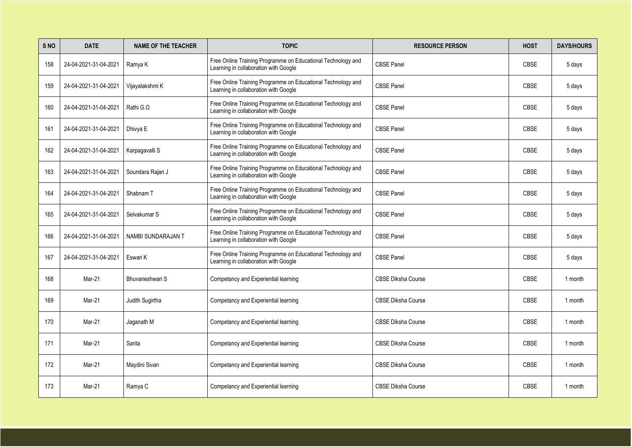| S <sub>NO</sub> | <b>DATE</b>           | <b>NAME OF THE TEACHER</b> | <b>TOPIC</b>                                                                                          | <b>RESOURCE PERSON</b>    | <b>HOST</b> | <b>DAYS/HOURS</b> |
|-----------------|-----------------------|----------------------------|-------------------------------------------------------------------------------------------------------|---------------------------|-------------|-------------------|
| 158             | 24-04-2021-31-04-2021 | Ramya K                    | Free Online Training Programme on Educational Technology and<br>Learning in collaboration with Google | <b>CBSE Panel</b>         | <b>CBSE</b> | 5 days            |
| 159             | 24-04-2021-31-04-2021 | Vijayalakshmi K            | Free Online Training Programme on Educational Technology and<br>Learning in collaboration with Google | <b>CBSE Panel</b>         | <b>CBSE</b> | 5 days            |
| 160             | 24-04-2021-31-04-2021 | Rathi G.O                  | Free Online Training Programme on Educational Technology and<br>Learning in collaboration with Google | <b>CBSE Panel</b>         | <b>CBSE</b> | 5 days            |
| 161             | 24-04-2021-31-04-2021 | Dhivya E                   | Free Online Training Programme on Educational Technology and<br>Learning in collaboration with Google | <b>CBSE Panel</b>         | <b>CBSE</b> | 5 days            |
| 162             | 24-04-2021-31-04-2021 | Karpagavalli S             | Free Online Training Programme on Educational Technology and<br>Learning in collaboration with Google | <b>CBSE Panel</b>         | <b>CBSE</b> | 5 days            |
| 163             | 24-04-2021-31-04-2021 | Soundara Rajan J           | Free Online Training Programme on Educational Technology and<br>Learning in collaboration with Google | <b>CBSE Panel</b>         | <b>CBSE</b> | 5 days            |
| 164             | 24-04-2021-31-04-2021 | Shabnam T                  | Free Online Training Programme on Educational Technology and<br>Learning in collaboration with Google | <b>CBSE Panel</b>         | <b>CBSE</b> | 5 days            |
| 165             | 24-04-2021-31-04-2021 | Selvakumar S               | Free Online Training Programme on Educational Technology and<br>Learning in collaboration with Google | <b>CBSE Panel</b>         | <b>CBSE</b> | 5 days            |
| 166             | 24-04-2021-31-04-2021 | NAMBI SUNDARAJAN T         | Free Online Training Programme on Educational Technology and<br>Learning in collaboration with Google | <b>CBSE Panel</b>         | <b>CBSE</b> | 5 days            |
| 167             | 24-04-2021-31-04-2021 | Eswari K                   | Free Online Training Programme on Educational Technology and<br>Learning in collaboration with Google | <b>CBSE Panel</b>         | <b>CBSE</b> | 5 days            |
| 168             | Mar-21                | Bhuvaneshwari S            | Competancy and Experiential learning                                                                  | <b>CBSE Diksha Course</b> | <b>CBSE</b> | 1 month           |
| 169             | Mar-21                | Judith Sugirtha            | Competancy and Experiential learning                                                                  | <b>CBSE Diksha Course</b> | <b>CBSE</b> | 1 month           |
| 170             | Mar-21                | Jaganath M                 | Competancy and Experiential learning                                                                  | <b>CBSE Diksha Course</b> | <b>CBSE</b> | 1 month           |
| 171             | Mar-21                | Sarita                     | Competancy and Experiential learning                                                                  | <b>CBSE Diksha Course</b> | <b>CBSE</b> | 1 month           |
| 172             | Mar-21                | Maydini Sivan              | Competancy and Experiential learning                                                                  | <b>CBSE Diksha Course</b> | <b>CBSE</b> | 1 month           |
| 173             | Mar-21                | Ramya C                    | Competancy and Experiential learning                                                                  | <b>CBSE Diksha Course</b> | <b>CBSE</b> | 1 month           |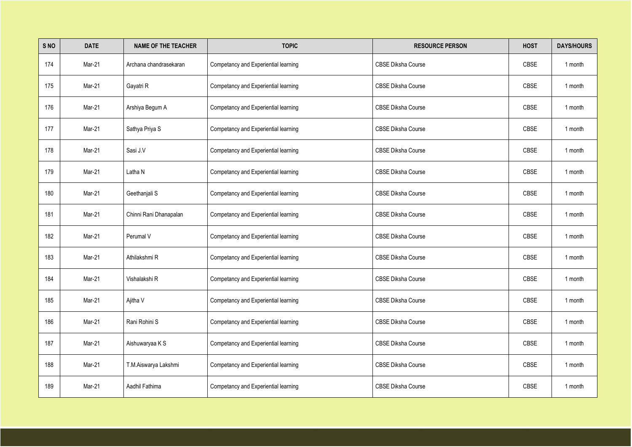| S NO | <b>DATE</b> | <b>NAME OF THE TEACHER</b> | <b>TOPIC</b>                         | <b>RESOURCE PERSON</b>    | <b>HOST</b> | <b>DAYS/HOURS</b> |
|------|-------------|----------------------------|--------------------------------------|---------------------------|-------------|-------------------|
| 174  | Mar-21      | Archana chandrasekaran     | Competancy and Experiential learning | <b>CBSE Diksha Course</b> | <b>CBSE</b> | 1 month           |
| 175  | Mar-21      | Gayatri R                  | Competancy and Experiential learning | <b>CBSE Diksha Course</b> | <b>CBSE</b> | 1 month           |
| 176  | Mar-21      | Arshiya Begum A            | Competancy and Experiential learning | <b>CBSE Diksha Course</b> | <b>CBSE</b> | 1 month           |
| 177  | Mar-21      | Sathya Priya S             | Competancy and Experiential learning | <b>CBSE Diksha Course</b> | <b>CBSE</b> | 1 month           |
| 178  | Mar-21      | Sasi J.V                   | Competancy and Experiential learning | <b>CBSE Diksha Course</b> | <b>CBSE</b> | 1 month           |
| 179  | Mar-21      | Latha N                    | Competancy and Experiential learning | <b>CBSE Diksha Course</b> | <b>CBSE</b> | 1 month           |
| 180  | Mar-21      | Geethanjali S              | Competancy and Experiential learning | <b>CBSE Diksha Course</b> | <b>CBSE</b> | 1 month           |
| 181  | Mar-21      | Chinni Rani Dhanapalan     | Competancy and Experiential learning | <b>CBSE Diksha Course</b> | <b>CBSE</b> | 1 month           |
| 182  | Mar-21      | Perumal V                  | Competancy and Experiential learning | <b>CBSE Diksha Course</b> | <b>CBSE</b> | 1 month           |
| 183  | Mar-21      | Athilakshmi R              | Competancy and Experiential learning | <b>CBSE Diksha Course</b> | <b>CBSE</b> | 1 month           |
| 184  | Mar-21      | Vishalakshi R              | Competancy and Experiential learning | <b>CBSE Diksha Course</b> | CBSE        | 1 month           |
| 185  | Mar-21      | Ajitha V                   | Competancy and Experiential learning | <b>CBSE Diksha Course</b> | CBSE        | 1 month           |
| 186  | Mar-21      | Rani Rohini S              | Competancy and Experiential learning | <b>CBSE Diksha Course</b> | CBSE        | 1 month           |
| 187  | Mar-21      | Aishuwaryaa K S            | Competancy and Experiential learning | <b>CBSE Diksha Course</b> | CBSE        | 1 month           |
| 188  | Mar-21      | T.M.Aiswarya Lakshmi       | Competancy and Experiential learning | <b>CBSE Diksha Course</b> | CBSE        | 1 month           |
| 189  | Mar-21      | Aadhil Fathima             | Competancy and Experiential learning | <b>CBSE Diksha Course</b> | CBSE        | 1 month           |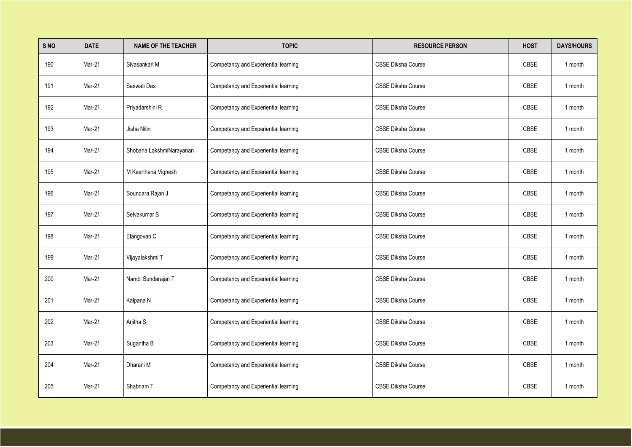| S NO | <b>DATE</b> | <b>NAME OF THE TEACHER</b> | <b>TOPIC</b>                         | <b>RESOURCE PERSON</b>    | <b>HOST</b> | <b>DAYS/HOURS</b> |
|------|-------------|----------------------------|--------------------------------------|---------------------------|-------------|-------------------|
| 190  | Mar-21      | Sivasankari M              | Competancy and Experiential learning | <b>CBSE Diksha Course</b> | <b>CBSE</b> | 1 month           |
| 191  | Mar-21      | Saswati Das                | Competancy and Experiential learning | <b>CBSE Diksha Course</b> | <b>CBSE</b> | 1 month           |
| 192  | Mar-21      | Priyadarshini R            | Competancy and Experiential learning | <b>CBSE Diksha Course</b> | <b>CBSE</b> | 1 month           |
| 193  | Mar-21      | Jisha Nitin                | Competancy and Experiential learning | <b>CBSE Diksha Course</b> | <b>CBSE</b> | 1 month           |
| 194  | Mar-21      | Shobana LakshmiNarayanan   | Competancy and Experiential learning | <b>CBSE Diksha Course</b> | <b>CBSE</b> | 1 month           |
| 195  | Mar-21      | M Keerthana Vignesh        | Competancy and Experiential learning | <b>CBSE Diksha Course</b> | <b>CBSE</b> | 1 month           |
| 196  | Mar-21      | Soundara Rajan J           | Competancy and Experiential learning | <b>CBSE Diksha Course</b> | <b>CBSE</b> | 1 month           |
| 197  | Mar-21      | Selvakumar S               | Competancy and Experiential learning | <b>CBSE Diksha Course</b> | <b>CBSE</b> | 1 month           |
| 198  | Mar-21      | Elangovan C                | Competancy and Experiential learning | <b>CBSE Diksha Course</b> | <b>CBSE</b> | 1 month           |
| 199  | Mar-21      | Vijayalakshmi T            | Competancy and Experiential learning | <b>CBSE Diksha Course</b> | <b>CBSE</b> | 1 month           |
| 200  | Mar-21      | Nambi Sundarajan T         | Competancy and Experiential learning | <b>CBSE Diksha Course</b> | CBSE        | 1 month           |
| 201  | Mar-21      | Kalpana N                  | Competancy and Experiential learning | <b>CBSE Diksha Course</b> | CBSE        | 1 month           |
| 202  | Mar-21      | Anitha S                   | Competancy and Experiential learning | <b>CBSE Diksha Course</b> | CBSE        | 1 month           |
| 203  | Mar-21      | Sugantha B                 | Competancy and Experiential learning | <b>CBSE Diksha Course</b> | CBSE        | 1 month           |
| 204  | Mar-21      | Dharani M                  | Competancy and Experiential learning | <b>CBSE Diksha Course</b> | CBSE        | 1 month           |
| 205  | Mar-21      | Shabnam T                  | Competancy and Experiential learning | <b>CBSE Diksha Course</b> | CBSE        | 1 month           |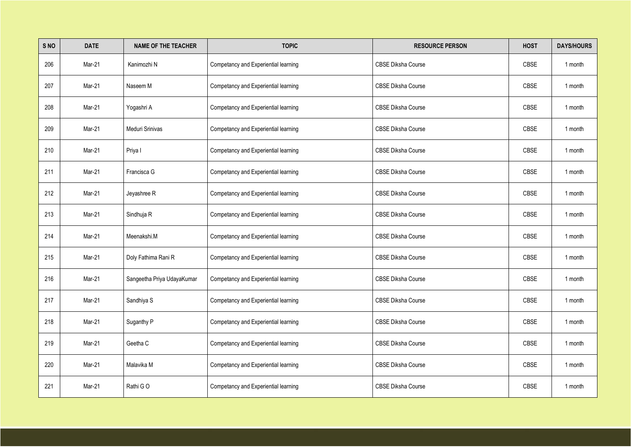| S NO | <b>DATE</b> | <b>NAME OF THE TEACHER</b> | <b>TOPIC</b>                         | <b>RESOURCE PERSON</b>    | <b>HOST</b> | <b>DAYS/HOURS</b> |
|------|-------------|----------------------------|--------------------------------------|---------------------------|-------------|-------------------|
| 206  | Mar-21      | Kanimozhi N                | Competancy and Experiential learning | <b>CBSE Diksha Course</b> | <b>CBSE</b> | 1 month           |
| 207  | Mar-21      | Naseem M                   | Competancy and Experiential learning | <b>CBSE Diksha Course</b> | <b>CBSE</b> | 1 month           |
| 208  | Mar-21      | Yogashri A                 | Competancy and Experiential learning | <b>CBSE Diksha Course</b> | <b>CBSE</b> | 1 month           |
| 209  | Mar-21      | Meduri Srinivas            | Competancy and Experiential learning | <b>CBSE Diksha Course</b> | <b>CBSE</b> | 1 month           |
| 210  | Mar-21      | Priya I                    | Competancy and Experiential learning | <b>CBSE Diksha Course</b> | <b>CBSE</b> | 1 month           |
| 211  | Mar-21      | Francisca G                | Competancy and Experiential learning | <b>CBSE Diksha Course</b> | <b>CBSE</b> | 1 month           |
| 212  | Mar-21      | Jeyashree R                | Competancy and Experiential learning | <b>CBSE Diksha Course</b> | <b>CBSE</b> | 1 month           |
| 213  | Mar-21      | Sindhuja R                 | Competancy and Experiential learning | <b>CBSE Diksha Course</b> | <b>CBSE</b> | 1 month           |
| 214  | Mar-21      | Meenakshi.M                | Competancy and Experiential learning | <b>CBSE Diksha Course</b> | <b>CBSE</b> | 1 month           |
| 215  | Mar-21      | Doly Fathima Rani R        | Competancy and Experiential learning | <b>CBSE Diksha Course</b> | <b>CBSE</b> | 1 month           |
| 216  | Mar-21      | Sangeetha Priya UdayaKumar | Competancy and Experiential learning | <b>CBSE Diksha Course</b> | CBSE        | 1 month           |
| 217  | Mar-21      | Sandhiya S                 | Competancy and Experiential learning | <b>CBSE Diksha Course</b> | CBSE        | 1 month           |
| 218  | Mar-21      | Suganthy P                 | Competancy and Experiential learning | <b>CBSE Diksha Course</b> | CBSE        | 1 month           |
| 219  | Mar-21      | Geetha C                   | Competancy and Experiential learning | <b>CBSE Diksha Course</b> | CBSE        | 1 month           |
| 220  | Mar-21      | Malavika M                 | Competancy and Experiential learning | <b>CBSE Diksha Course</b> | CBSE        | 1 month           |
| 221  | Mar-21      | Rathi GO                   | Competancy and Experiential learning | <b>CBSE Diksha Course</b> | CBSE        | 1 month           |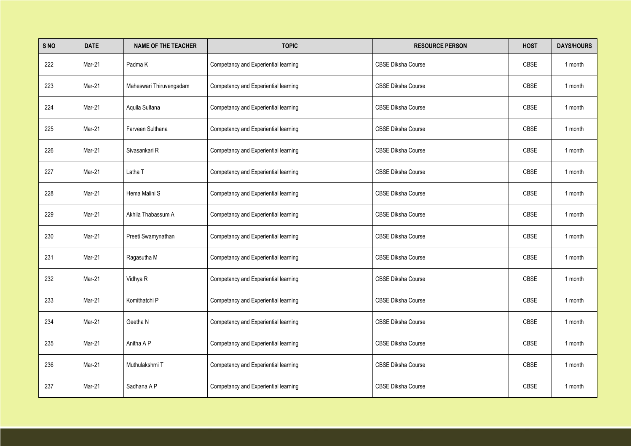| S NO | <b>DATE</b> | <b>NAME OF THE TEACHER</b> | <b>TOPIC</b>                         | <b>RESOURCE PERSON</b>    | <b>HOST</b> | <b>DAYS/HOURS</b> |
|------|-------------|----------------------------|--------------------------------------|---------------------------|-------------|-------------------|
| 222  | Mar-21      | Padma K                    | Competancy and Experiential learning | <b>CBSE Diksha Course</b> | <b>CBSE</b> | 1 month           |
| 223  | Mar-21      | Maheswari Thiruvengadam    | Competancy and Experiential learning | <b>CBSE Diksha Course</b> | <b>CBSE</b> | 1 month           |
| 224  | Mar-21      | Aquila Sultana             | Competancy and Experiential learning | <b>CBSE Diksha Course</b> | <b>CBSE</b> | 1 month           |
| 225  | Mar-21      | Farveen Sulthana           | Competancy and Experiential learning | <b>CBSE Diksha Course</b> | <b>CBSE</b> | 1 month           |
| 226  | Mar-21      | Sivasankari R              | Competancy and Experiential learning | <b>CBSE Diksha Course</b> | <b>CBSE</b> | 1 month           |
| 227  | Mar-21      | Latha T                    | Competancy and Experiential learning | <b>CBSE Diksha Course</b> | <b>CBSE</b> | 1 month           |
| 228  | Mar-21      | Hema Malini S              | Competancy and Experiential learning | <b>CBSE Diksha Course</b> | <b>CBSE</b> | 1 month           |
| 229  | Mar-21      | Akhila Thabassum A         | Competancy and Experiential learning | <b>CBSE Diksha Course</b> | <b>CBSE</b> | 1 month           |
| 230  | Mar-21      | Preeti Swamynathan         | Competancy and Experiential learning | <b>CBSE Diksha Course</b> | <b>CBSE</b> | 1 month           |
| 231  | Mar-21      | Ragasutha M                | Competancy and Experiential learning | <b>CBSE Diksha Course</b> | <b>CBSE</b> | 1 month           |
| 232  | Mar-21      | Vidhya R                   | Competancy and Experiential learning | <b>CBSE Diksha Course</b> | CBSE        | 1 month           |
| 233  | Mar-21      | Komithatchi P              | Competancy and Experiential learning | <b>CBSE Diksha Course</b> | CBSE        | 1 month           |
| 234  | Mar-21      | Geetha N                   | Competancy and Experiential learning | <b>CBSE Diksha Course</b> | CBSE        | 1 month           |
| 235  | Mar-21      | Anitha A P                 | Competancy and Experiential learning | <b>CBSE Diksha Course</b> | CBSE        | 1 month           |
| 236  | Mar-21      | Muthulakshmi T             | Competancy and Experiential learning | <b>CBSE Diksha Course</b> | CBSE        | 1 month           |
| 237  | Mar-21      | Sadhana A P                | Competancy and Experiential learning | <b>CBSE Diksha Course</b> | CBSE        | 1 month           |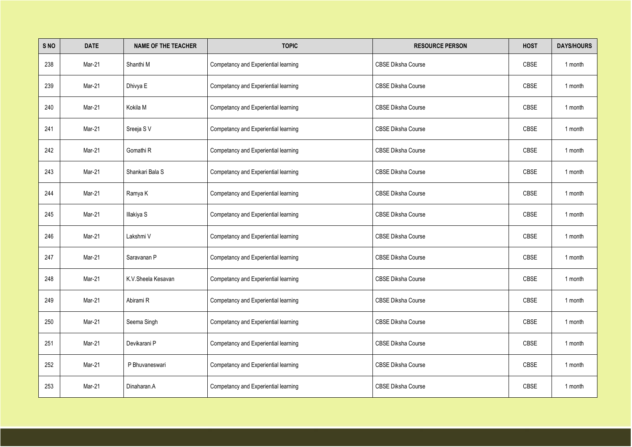| S NO | <b>DATE</b> | <b>NAME OF THE TEACHER</b> | <b>TOPIC</b>                         | <b>RESOURCE PERSON</b>    | <b>HOST</b> | <b>DAYS/HOURS</b> |
|------|-------------|----------------------------|--------------------------------------|---------------------------|-------------|-------------------|
| 238  | Mar-21      | Shanthi M                  | Competancy and Experiential learning | <b>CBSE Diksha Course</b> | <b>CBSE</b> | 1 month           |
| 239  | Mar-21      | Dhivya E                   | Competancy and Experiential learning | <b>CBSE Diksha Course</b> | <b>CBSE</b> | 1 month           |
| 240  | Mar-21      | Kokila M                   | Competancy and Experiential learning | <b>CBSE Diksha Course</b> | <b>CBSE</b> | 1 month           |
| 241  | Mar-21      | Sreeja SV                  | Competancy and Experiential learning | <b>CBSE Diksha Course</b> | <b>CBSE</b> | 1 month           |
| 242  | Mar-21      | Gomathi <sub>R</sub>       | Competancy and Experiential learning | <b>CBSE Diksha Course</b> | <b>CBSE</b> | 1 month           |
| 243  | Mar-21      | Shankari Bala S            | Competancy and Experiential learning | <b>CBSE Diksha Course</b> | <b>CBSE</b> | 1 month           |
| 244  | Mar-21      | Ramya K                    | Competancy and Experiential learning | <b>CBSE Diksha Course</b> | <b>CBSE</b> | 1 month           |
| 245  | Mar-21      | Illakiya S                 | Competancy and Experiential learning | <b>CBSE Diksha Course</b> | <b>CBSE</b> | 1 month           |
| 246  | Mar-21      | Lakshmi V                  | Competancy and Experiential learning | <b>CBSE Diksha Course</b> | <b>CBSE</b> | 1 month           |
| 247  | Mar-21      | Saravanan P                | Competancy and Experiential learning | <b>CBSE Diksha Course</b> | <b>CBSE</b> | 1 month           |
| 248  | Mar-21      | K.V. Sheela Kesavan        | Competancy and Experiential learning | <b>CBSE Diksha Course</b> | CBSE        | 1 month           |
| 249  | Mar-21      | Abirami R                  | Competancy and Experiential learning | <b>CBSE Diksha Course</b> | CBSE        | 1 month           |
| 250  | Mar-21      | Seema Singh                | Competancy and Experiential learning | <b>CBSE Diksha Course</b> | CBSE        | 1 month           |
| 251  | Mar-21      | Devikarani P               | Competancy and Experiential learning | <b>CBSE Diksha Course</b> | CBSE        | 1 month           |
| 252  | Mar-21      | P Bhuvaneswari             | Competancy and Experiential learning | <b>CBSE Diksha Course</b> | CBSE        | 1 month           |
| 253  | Mar-21      | Dinaharan.A                | Competancy and Experiential learning | <b>CBSE Diksha Course</b> | CBSE        | 1 month           |